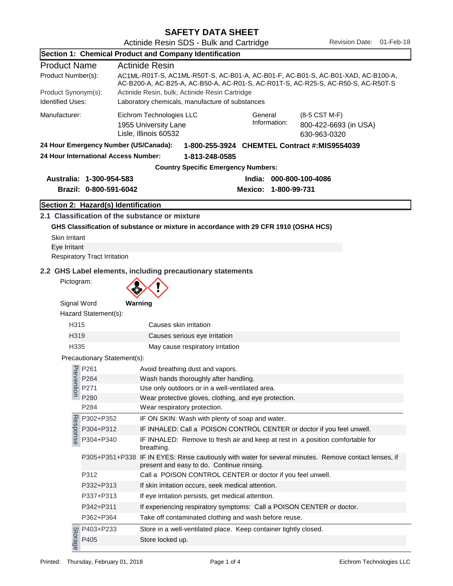SAFETY DATA SHEET Actinide Resin SDS - Bulk and Cartridge Revision Date: 01-Feb-18

|                                                |                                       | Section 1: Chemical Product and Company Identification                                                                                                                |  |  |  |  |
|------------------------------------------------|---------------------------------------|-----------------------------------------------------------------------------------------------------------------------------------------------------------------------|--|--|--|--|
| <b>Product Name</b>                            |                                       | <b>Actinide Resin</b>                                                                                                                                                 |  |  |  |  |
| Product Number(s):                             |                                       | AC1ML-R01T-S, AC1ML-R50T-S, AC-B01-A, AC-B01-F, AC-B01-S, AC-B01-XAD, AC-B100-A,<br>AC-B200-A, AC-B25-A, AC-B50-A, AC-R01-S, AC-R01T-S, AC-R25-S, AC-R50-S, AC-R50T-S |  |  |  |  |
| Product Synonym(s):<br><b>Identified Uses:</b> |                                       | Actinide Resin, bulk; Actinide Resin Cartridge<br>Laboratory chemicals, manufacture of substances                                                                     |  |  |  |  |
| Manufacturer:                                  |                                       | Eichrom Technologies LLC<br>General<br>(8-5 CST M-F)<br>Information:<br>800-422-6693 (in USA)<br>1955 University Lane<br>Lisle, Illinois 60532<br>630-963-0320        |  |  |  |  |
|                                                | 24 Hour Emergency Number (US/Canada): | 1-800-255-3924 CHEMTEL Contract #:MIS9554039                                                                                                                          |  |  |  |  |
|                                                | 24 Hour International Access Number:  | 1-813-248-0585                                                                                                                                                        |  |  |  |  |
|                                                |                                       | <b>Country Specific Emergency Numbers:</b>                                                                                                                            |  |  |  |  |
|                                                | Australia: 1-300-954-583              | India: 000-800-100-4086                                                                                                                                               |  |  |  |  |
|                                                | Brazil: 0-800-591-6042                | Mexico: 1-800-99-731                                                                                                                                                  |  |  |  |  |
|                                                | Section 2: Hazard(s) Identification   |                                                                                                                                                                       |  |  |  |  |
|                                                |                                       | 2.1 Classification of the substance or mixture                                                                                                                        |  |  |  |  |
|                                                |                                       | GHS Classification of substance or mixture in accordance with 29 CFR 1910 (OSHA HCS)                                                                                  |  |  |  |  |
| <b>Skin Irritant</b>                           |                                       |                                                                                                                                                                       |  |  |  |  |
| Eye Irritant                                   |                                       |                                                                                                                                                                       |  |  |  |  |
|                                                | <b>Respiratory Tract Irritation</b>   |                                                                                                                                                                       |  |  |  |  |
|                                                |                                       | 2.2 GHS Label elements, including precautionary statements                                                                                                            |  |  |  |  |
| Pictogram:                                     |                                       |                                                                                                                                                                       |  |  |  |  |
| Signal Word                                    |                                       | Warning                                                                                                                                                               |  |  |  |  |
|                                                | Hazard Statement(s):                  |                                                                                                                                                                       |  |  |  |  |
| H315                                           |                                       | Causes skin irritation                                                                                                                                                |  |  |  |  |
| H319                                           |                                       | Causes serious eye irritation                                                                                                                                         |  |  |  |  |
| H335                                           |                                       | May cause respiratory irritation                                                                                                                                      |  |  |  |  |
|                                                | Precautionary Statement(s):           |                                                                                                                                                                       |  |  |  |  |
|                                                | P261                                  | Avoid breathing dust and vapors.                                                                                                                                      |  |  |  |  |
| Prevention                                     | P264                                  | Wash hands thoroughly after handling.                                                                                                                                 |  |  |  |  |
|                                                | P271                                  | Use only outdoors or in a well-ventilated area.                                                                                                                       |  |  |  |  |
|                                                | P280                                  | Wear protective gloves, clothing, and eye protection.                                                                                                                 |  |  |  |  |
|                                                | P284                                  | Wear respiratory protection.                                                                                                                                          |  |  |  |  |
| Response                                       | P302+P352                             | IF ON SKIN: Wash with plenty of soap and water.                                                                                                                       |  |  |  |  |
|                                                | P304+P312                             | IF INHALED: Call a POISON CONTROL CENTER or doctor if you feel unwell.                                                                                                |  |  |  |  |
|                                                | P304+P340                             | IF INHALED: Remove to fresh air and keep at rest in a position comfortable for<br>breathing.                                                                          |  |  |  |  |
|                                                | P305+P351+P338                        | IF IN EYES: Rinse cautiously with water for several minutes. Remove contact lenses, if<br>present and easy to do. Continue rinsing.                                   |  |  |  |  |
|                                                | P312                                  | Call a POISON CONTROL CENTER or doctor if you feel unwell.                                                                                                            |  |  |  |  |
|                                                | P332+P313                             | If skin irritation occurs, seek medical attention.                                                                                                                    |  |  |  |  |
|                                                | P337+P313                             | If eye irritation persists, get medical attention.                                                                                                                    |  |  |  |  |
|                                                | P342+P311                             | If experiencing respiratory symptoms: Call a POISON CENTER or doctor.                                                                                                 |  |  |  |  |
|                                                | P362+P364                             | Take off contaminated clothing and wash before reuse.                                                                                                                 |  |  |  |  |
|                                                | P403+P233                             | Store in a well-ventilated place. Keep container tightly closed.                                                                                                      |  |  |  |  |
| Storage                                        | P405                                  | Store locked up.                                                                                                                                                      |  |  |  |  |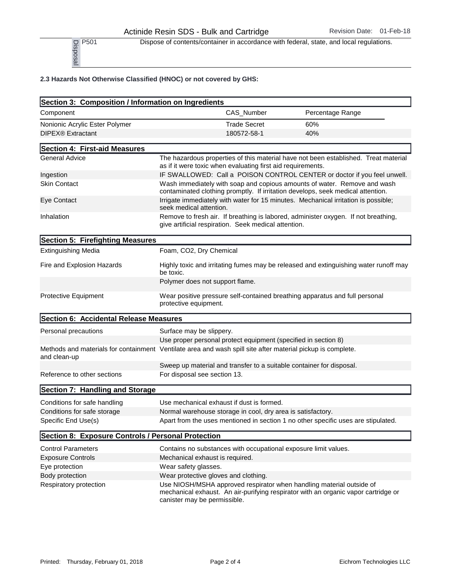P<sub>501</sub> Dispose of contents/container in accordance with federal, state, and local regulations.

| P501<br>Disposal                                                   | Dispose of contents/container in accordance with federal, state, and local regulations.                                                                                                    |                                                                                     |  |
|--------------------------------------------------------------------|--------------------------------------------------------------------------------------------------------------------------------------------------------------------------------------------|-------------------------------------------------------------------------------------|--|
| 2.3 Hazards Not Otherwise Classified (HNOC) or not covered by GHS: |                                                                                                                                                                                            |                                                                                     |  |
| Section 3: Composition / Information on Ingredients                |                                                                                                                                                                                            |                                                                                     |  |
| Component                                                          | CAS_Number                                                                                                                                                                                 | Percentage Range                                                                    |  |
| Nonionic Acrylic Ester Polymer                                     | <b>Trade Secret</b>                                                                                                                                                                        | 60%                                                                                 |  |
| DIPEX® Extractant                                                  | 180572-58-1                                                                                                                                                                                | 40%                                                                                 |  |
| Section 4: First-aid Measures                                      |                                                                                                                                                                                            |                                                                                     |  |
| <b>General Advice</b>                                              | as if it were toxic when evaluating first aid requirements.                                                                                                                                | The hazardous properties of this material have not been established. Treat material |  |
| Ingestion                                                          |                                                                                                                                                                                            | IF SWALLOWED: Call a POISON CONTROL CENTER or doctor if you feel unwell.            |  |
| <b>Skin Contact</b>                                                | Wash immediately with soap and copious amounts of water. Remove and wash<br>contaminated clothing promptly. If irritation develops, seek medical attention.                                |                                                                                     |  |
| Eye Contact                                                        | Irrigate immediately with water for 15 minutes. Mechanical irritation is possible;<br>seek medical attention.                                                                              |                                                                                     |  |
| Inhalation                                                         | Remove to fresh air. If breathing is labored, administer oxygen. If not breathing,<br>give artificial respiration. Seek medical attention.                                                 |                                                                                     |  |
| Section 5: Firefighting Measures                                   |                                                                                                                                                                                            |                                                                                     |  |
| <b>Extinguishing Media</b>                                         | Foam, CO2, Dry Chemical                                                                                                                                                                    |                                                                                     |  |
| Fire and Explosion Hazards                                         | Highly toxic and irritating fumes may be released and extinguishing water runoff may<br>be toxic.                                                                                          |                                                                                     |  |
|                                                                    | Polymer does not support flame.                                                                                                                                                            |                                                                                     |  |
| Protective Equipment                                               | Wear positive pressure self-contained breathing apparatus and full personal<br>protective equipment.                                                                                       |                                                                                     |  |
| Section 6: Accidental Release Measures                             |                                                                                                                                                                                            |                                                                                     |  |
| Personal precautions                                               | Surface may be slippery.                                                                                                                                                                   |                                                                                     |  |
|                                                                    | Use proper personal protect equipment (specified in section 8)                                                                                                                             |                                                                                     |  |
| and clean-up                                                       | Methods and materials for containment Ventilate area and wash spill site after material pickup is complete.                                                                                |                                                                                     |  |
|                                                                    | Sweep up material and transfer to a suitable container for disposal.                                                                                                                       |                                                                                     |  |
| Reference to other sections                                        | For disposal see section 13.                                                                                                                                                               |                                                                                     |  |
| Section 7: Handling and Storage                                    |                                                                                                                                                                                            |                                                                                     |  |
| Conditions for safe handling                                       | Use mechanical exhaust if dust is formed.                                                                                                                                                  |                                                                                     |  |
| Conditions for safe storage                                        | Normal warehouse storage in cool, dry area is satisfactory.                                                                                                                                |                                                                                     |  |
| Specific End Use(s)                                                | Apart from the uses mentioned in section 1 no other specific uses are stipulated.                                                                                                          |                                                                                     |  |
| Section 8: Exposure Controls / Personal Protection                 |                                                                                                                                                                                            |                                                                                     |  |
| <b>Control Parameters</b>                                          | Contains no substances with occupational exposure limit values.                                                                                                                            |                                                                                     |  |
| <b>Exposure Controls</b>                                           | Mechanical exhaust is required.                                                                                                                                                            |                                                                                     |  |
| Eye protection                                                     | Wear safety glasses.                                                                                                                                                                       |                                                                                     |  |
| Body protection                                                    | Wear protective gloves and clothing.                                                                                                                                                       |                                                                                     |  |
| Respiratory protection                                             | Use NIOSH/MSHA approved respirator when handling material outside of<br>mechanical exhaust. An air-purifying respirator with an organic vapor cartridge or<br>canister may be permissible. |                                                                                     |  |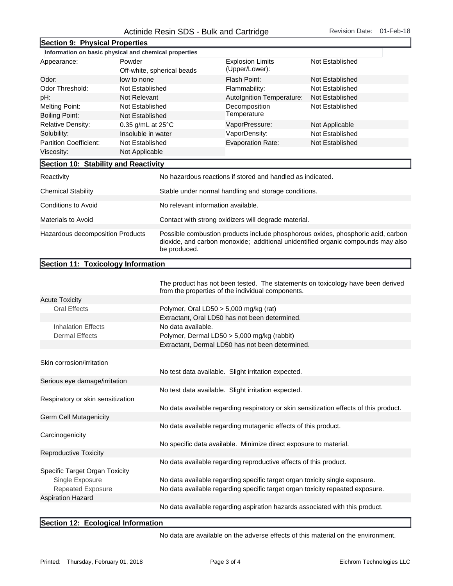## Actinide Resin SDS - Bulk and Cartridge Revision Date: 01-Feb-18

| Section 9: Physical Properties                        |                                      |                                                                                                                                                                                      |                                           |                 |  |
|-------------------------------------------------------|--------------------------------------|--------------------------------------------------------------------------------------------------------------------------------------------------------------------------------------|-------------------------------------------|-----------------|--|
| Information on basic physical and chemical properties |                                      |                                                                                                                                                                                      |                                           |                 |  |
| Appearance:                                           | Powder<br>Off-white, spherical beads |                                                                                                                                                                                      | <b>Explosion Limits</b><br>(Upper/Lower): | Not Established |  |
| Odor:<br>low to none                                  |                                      |                                                                                                                                                                                      | Flash Point:                              | Not Established |  |
| Odor Threshold:<br>Not Established                    |                                      |                                                                                                                                                                                      | Flammability:                             | Not Established |  |
| pH:<br>Not Relevant                                   |                                      |                                                                                                                                                                                      | Autolgnition Temperature:                 | Not Established |  |
| <b>Melting Point:</b>                                 | Not Established                      |                                                                                                                                                                                      | Decomposition                             | Not Established |  |
| <b>Boiling Point:</b>                                 | Not Established                      |                                                                                                                                                                                      | Temperature                               |                 |  |
| <b>Relative Density:</b>                              | 0.35 g/mL at 25°C                    |                                                                                                                                                                                      | VaporPressure:                            | Not Applicable  |  |
| Solubility:                                           | Insoluble in water                   |                                                                                                                                                                                      | VaporDensity:                             | Not Established |  |
| Partition Coefficient:<br>Not Established             |                                      |                                                                                                                                                                                      | <b>Evaporation Rate:</b>                  | Not Established |  |
| Not Applicable<br>Viscosity:                          |                                      |                                                                                                                                                                                      |                                           |                 |  |
| Section 10: Stability and Reactivity                  |                                      |                                                                                                                                                                                      |                                           |                 |  |
| Reactivity                                            |                                      | No hazardous reactions if stored and handled as indicated.                                                                                                                           |                                           |                 |  |
| <b>Chemical Stability</b>                             |                                      | Stable under normal handling and storage conditions.                                                                                                                                 |                                           |                 |  |
| <b>Conditions to Avoid</b>                            |                                      | No relevant information available.                                                                                                                                                   |                                           |                 |  |
| <b>Materials to Avoid</b>                             |                                      | Contact with strong oxidizers will degrade material.                                                                                                                                 |                                           |                 |  |
| Hazardous decomposition Products                      |                                      | Possible combustion products include phosphorous oxides, phosphoric acid, carbon<br>dioxide, and carbon monoxide; additional unidentified organic compounds may also<br>be produced. |                                           |                 |  |
| Section 11: Toxicology Information                    |                                      |                                                                                                                                                                                      |                                           |                 |  |

|                                   | The product has not been tested. The statements on toxicology have been derived<br>from the properties of the individual components. |
|-----------------------------------|--------------------------------------------------------------------------------------------------------------------------------------|
| <b>Acute Toxicity</b>             |                                                                                                                                      |
| Oral Effects                      | Polymer, Oral LD50 > 5,000 mg/kg (rat)                                                                                               |
|                                   | Extractant, Oral LD50 has not been determined.                                                                                       |
| <b>Inhalation Effects</b>         | No data available.                                                                                                                   |
| <b>Dermal Effects</b>             | Polymer, Dermal LD50 > 5,000 mg/kg (rabbit)                                                                                          |
|                                   | Extractant, Dermal LD50 has not been determined.                                                                                     |
|                                   |                                                                                                                                      |
| Skin corrosion/irritation         |                                                                                                                                      |
|                                   | No test data available. Slight irritation expected.                                                                                  |
| Serious eye damage/irritation     |                                                                                                                                      |
|                                   | No test data available. Slight irritation expected.                                                                                  |
| Respiratory or skin sensitization |                                                                                                                                      |
|                                   | No data available regarding respiratory or skin sensitization effects of this product.                                               |
| Germ Cell Mutagenicity            |                                                                                                                                      |
|                                   | No data available regarding mutagenic effects of this product.                                                                       |
| Carcinogenicity                   |                                                                                                                                      |
|                                   | No specific data available. Minimize direct exposure to material.                                                                    |
| <b>Reproductive Toxicity</b>      |                                                                                                                                      |
|                                   | No data available regarding reproductive effects of this product.                                                                    |
| Specific Target Organ Toxicity    |                                                                                                                                      |
| Single Exposure                   | No data available regarding specific target organ toxicity single exposure.                                                          |
| <b>Repeated Exposure</b>          | No data available regarding specific target organ toxicity repeated exposure.                                                        |
| <b>Aspiration Hazard</b>          |                                                                                                                                      |
|                                   | No data available regarding aspiration hazards associated with this product.                                                         |
|                                   |                                                                                                                                      |

## Section 12: Ecological Information

No data are available on the adverse effects of this material on the environment.

×.